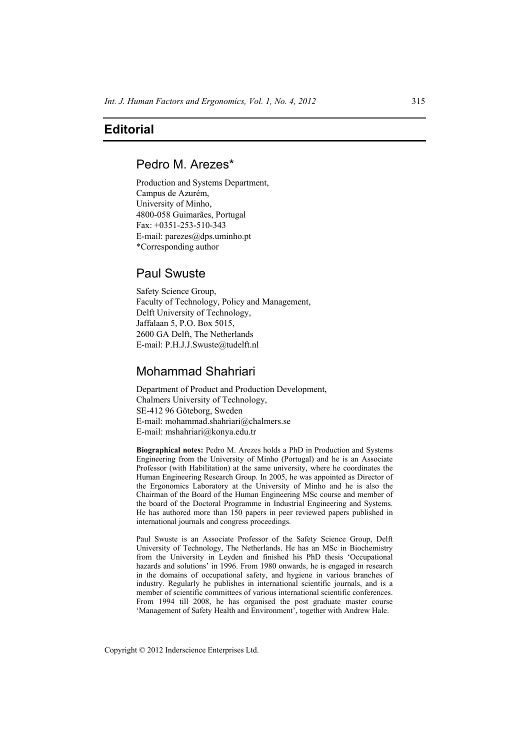## **Editorial**

# Pedro M. Arezes\*

Production and Systems Department, Campus de Azurém, University of Minho, 4800-058 Guimarães, Portugal Fax: +0351-253-510-343 E-mail: parezes@dps.uminho.pt \*Corresponding author

## Paul Swuste

Safety Science Group, Faculty of Technology, Policy and Management, Delft University of Technology, Jaffalaan 5, P.O. Box 5015, 2600 GA Delft, The Netherlands E-mail: P.H.J.J.Swuste@tudelft.nl

# Mohammad Shahriari

Department of Product and Production Development, Chalmers University of Technology, SE-412 96 Göteborg, Sweden E-mail: mohammad.shahriari@chalmers.se E-mail: mshahriari@konya.edu.tr

**Biographical notes:** Pedro M. Arezes holds a PhD in Production and Systems Engineering from the University of Minho (Portugal) and he is an Associate Professor (with Habilitation) at the same university, where he coordinates the Human Engineering Research Group. In 2005, he was appointed as Director of the Ergonomics Laboratory at the University of Minho and he is also the Chairman of the Board of the Human Engineering MSc course and member of the board of the Doctoral Programme in Industrial Engineering and Systems. He has authored more than 150 papers in peer reviewed papers published in international journals and congress proceedings.

Paul Swuste is an Associate Professor of the Safety Science Group, Delft University of Technology, The Netherlands. He has an MSc in Biochemistry from the University in Leyden and finished his PhD thesis 'Occupational hazards and solutions' in 1996. From 1980 onwards, he is engaged in research in the domains of occupational safety, and hygiene in various branches of industry. Regularly he publishes in international scientific journals, and is a member of scientific committees of various international scientific conferences. From 1994 till 2008, he has organised the post graduate master course 'Management of Safety Health and Environment', together with Andrew Hale.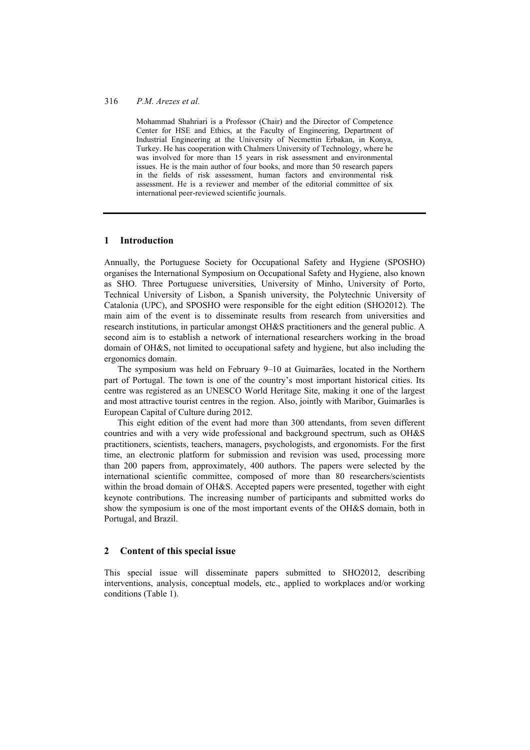## 316 *P.M. Arezes et al.*

Mohammad Shahriari is a Professor (Chair) and the Director of Competence Center for HSE and Ethics, at the Faculty of Engineering, Department of Industrial Engineering at the University of Necmettin Erbakan, in Konya, Turkey. He has cooperation with Chalmers University of Technology, where he was involved for more than 15 years in risk assessment and environmental issues. He is the main author of four books, and more than 50 research papers in the fields of risk assessment, human factors and environmental risk assessment. He is a reviewer and member of the editorial committee of six international peer-reviewed scientific journals.

### **1 Introduction**

Annually, the Portuguese Society for Occupational Safety and Hygiene (SPOSHO) organises the International Symposium on Occupational Safety and Hygiene, also known as SHO. Three Portuguese universities, University of Minho, University of Porto, Technical University of Lisbon, a Spanish university, the Polytechnic University of Catalonia (UPC), and SPOSHO were responsible for the eight edition (SHO2012). The main aim of the event is to disseminate results from research from universities and research institutions, in particular amongst OH&S practitioners and the general public. A second aim is to establish a network of international researchers working in the broad domain of OH&S, not limited to occupational safety and hygiene, but also including the ergonomics domain.

The symposium was held on February 9–10 at Guimarães, located in the Northern part of Portugal. The town is one of the country's most important historical cities. Its centre was registered as an UNESCO World Heritage Site, making it one of the largest and most attractive tourist centres in the region. Also, jointly with Maribor, Guimarães is European Capital of Culture during 2012.

This eight edition of the event had more than 300 attendants, from seven different countries and with a very wide professional and background spectrum, such as OH&S practitioners, scientists, teachers, managers, psychologists, and ergonomists. For the first time, an electronic platform for submission and revision was used, processing more than 200 papers from, approximately, 400 authors. The papers were selected by the international scientific committee, composed of more than 80 researchers/scientists within the broad domain of OH&S. Accepted papers were presented, together with eight keynote contributions. The increasing number of participants and submitted works do show the symposium is one of the most important events of the OH&S domain, both in Portugal, and Brazil.

### **2 Content of this special issue**

This special issue will disseminate papers submitted to SHO2012, describing interventions, analysis, conceptual models, etc., applied to workplaces and/or working conditions (Table 1).